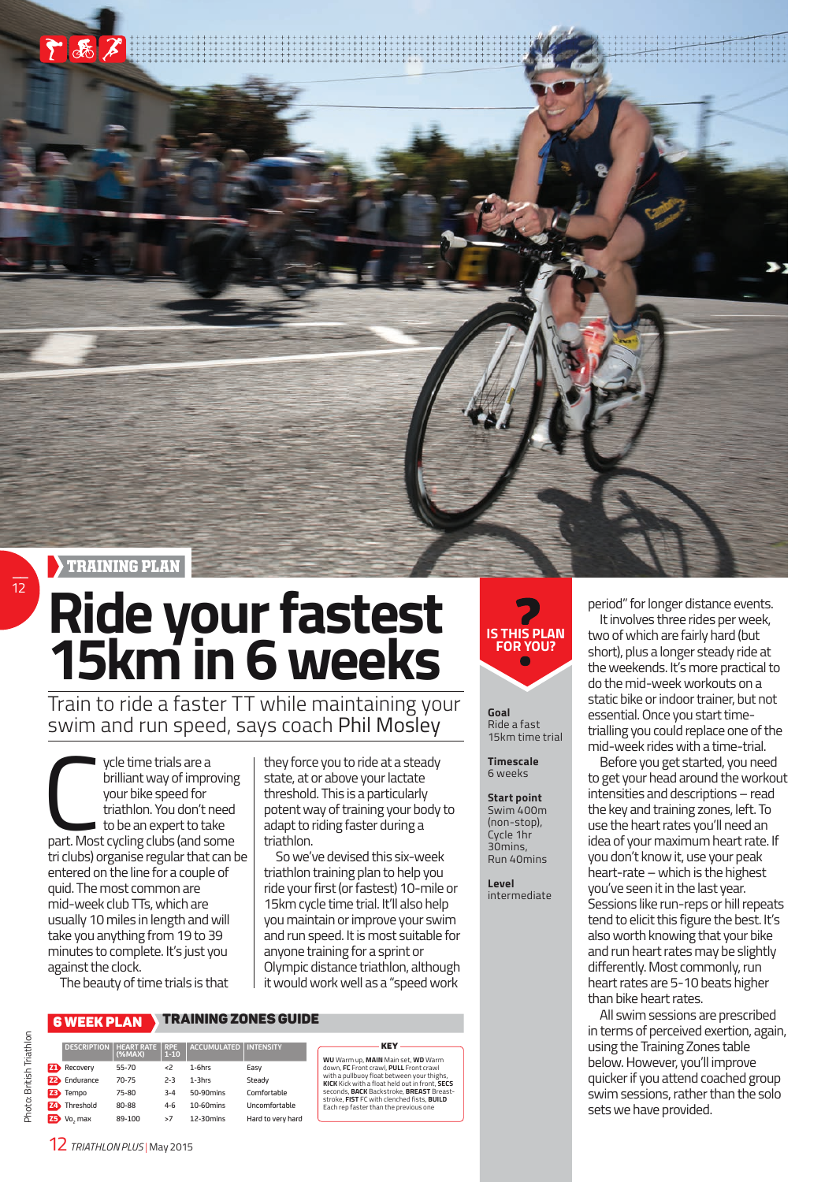

## **Ride your fastest 15km in 6 weeks**

Train to ride a faster TT while maintaining your swim and run speed, says coach Phil Mosley

ycle time trials are a<br>brilliant way of improving<br>your bike speed for<br>triathlon. You don't need<br>to be an expert to take<br>part. Most cycling clubs (and some ycle time trials are a brilliant way of improving your bike speed for triathlon. You don't need  $\blacksquare$  to be an expert to take tri clubs) organise regular that can be entered on the line for a couple of quid. The most common are mid-week club TTs, which are usually 10 miles in length and will take you anything from 19 to 39 minutes to complete. It's just you against the clock.

The beauty of time trials is that

## 6 WEEK PLAN TRAINING ZONES GUIDE

Comfortable Z4 Threshold 80-88 4-6 10-60mins Uncomfortable

Hard to very hard

|           | <b>DESCRIPTION</b> | <b>HEART RATE</b><br>(%MAX) | <b>RPE</b><br>$1 - 10$ | <b>ACCUMULATED</b> | <b>INTENSITY</b> |
|-----------|--------------------|-----------------------------|------------------------|--------------------|------------------|
|           | Recovery           | 55-70                       | $\epsilon$             | $1-6$ hrs          | Easy             |
| FÐ.       | Endurance          | $70 - 75$                   | $2 - 3$                | $1-3$ hrs          | Steady           |
| Z3        | Tempo              | 75-80                       | $3 - 4$                | 50-90mins          | Comfortab        |
| Z4        | Threshold          | 80-88                       | $4 - 6$                | $10-60$ mins       | Uncomfort        |
| <b>Z5</b> | Vo, max            | 89-100                      | >7                     | 12-30mins          | Hard to ver      |
|           |                    |                             |                        |                    |                  |

state, at or above your lactate threshold. This is a particularly potent way of training your body to adapt to riding faster during a triathlon. So we've devised this six-week

they force you to ride at a steady

triathlon training plan to help you ride your first (or fastest) 10-mile or 15km cycle time trial. It'll also help you maintain or improve your swim and run speed. It is most suitable for anyone training for a sprint or Olympic distance triathlon, although it would work well as a "speed work

WU Warm up, MAIN Main set, WD Warm<br>down, FC Front crawl, PULL Front crawl<br>with a pullbuoy float between your thighs.<br>KICK Kick with a float held out in front, SECS<br>seconds, BACK Backstroke, BREAST Breast-<br>stroke, FIST FC w

KEY



**Goal**  Ride a fast 15km time trial

**Timescale** 6 weeks

**Start point** Swim 400m

(non-stop), Cycle 1hr 30mins, Run 40mins

**Level**  intermediate period" for longer distance events.

It involves three rides per week, two of which are fairly hard (but short), plus a longer steady ride at the weekends. It's more practical to do the mid-week workouts on a static bike or indoor trainer, but not essential. Once you start timetrialling you could replace one of the mid-week rides with a time-trial.

Before you get started, you need to get your head around the workout intensities and descriptions – read the key and training zones, left. To use the heart rates you'll need an idea of your maximum heart rate. If you don't know it, use your peak heart-rate – which is the highest you've seen it in the last year. Sessions like run-reps or hill repeats tend to elicit this figure the best. It's also worth knowing that your bike and run heart rates may be slightly differently. Most commonly, run heart rates are 5-10 beats higher than bike heart rates.

All swim sessions are prescribed in terms of perceived exertion, again, using the Training Zones table below. However, you'll improve quicker if you attend coached group swim sessions, rather than the solo sets we have provided.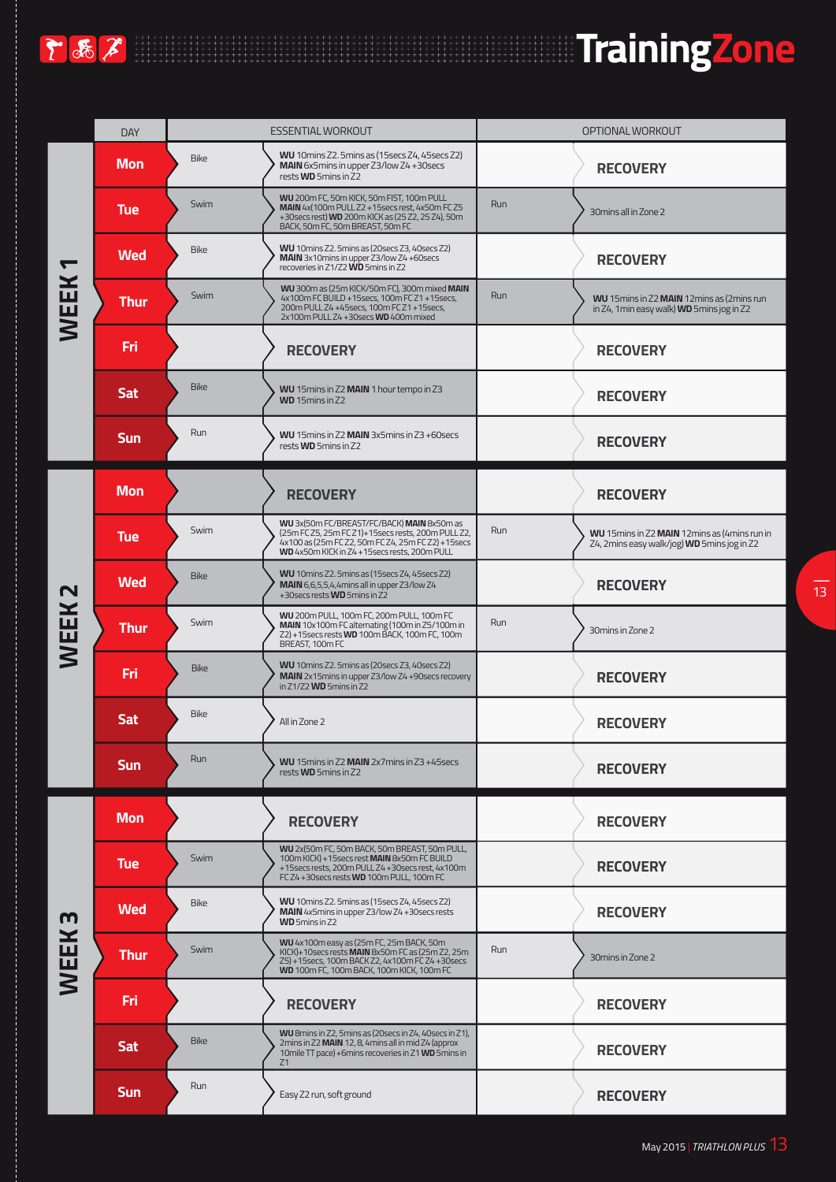

|              | <b>DAY</b>  |             | <b>ESSENTIAL WORKOUT</b>                                                                                                                                                                               |     | OPTIONAL WORKOUT                                                                               |
|--------------|-------------|-------------|--------------------------------------------------------------------------------------------------------------------------------------------------------------------------------------------------------|-----|------------------------------------------------------------------------------------------------|
|              | <b>Mon</b>  | <b>Bike</b> | WU 10mins Z2. 5mins as (15secs Z4, 45secs Z2)<br>MAIN 6x5mins in upper Z3/low Z4+30secs<br>rests WD 5mins in Z2                                                                                        |     | <b>RECOVERY</b>                                                                                |
|              | <b>Tue</b>  | Swim        | WU 200m FC, 50m KICK, 50m FIST, 100m PULL<br>MAIN 4x(100m PULL Z2 + 15secs rest, 4x50m FC Z5<br>+30 secs rest) WD 200m KICK as (25 Z2, 25 Z4), 50m<br>BACK, 50m FC, 50m BREAST, 50m FC                 | Run | 30mins all in Zone 2                                                                           |
|              | <b>Wed</b>  | <b>Bike</b> | WU 10mins Z2.5mins as (20secs Z3, 40secs Z2)<br>MAIN 3x10mins in upper Z3/low Z4+60secs<br>recoveries in Z1/Z2 WD 5mins in Z2                                                                          |     | <b>RECOVERY</b>                                                                                |
| <b>WEEK</b>  | <b>Thur</b> | Swim        | WU 300m as (25m KICK/50m FC), 300m mixed MAIN<br>4x100m FC BUILD +15secs, 100m FC Z1 +15secs,<br>200m PULL Z4 +45secs, 100m FC Z1 +15secs,<br>2x100m PULL Z4 +30secs WD 400m mixed                     | Run | WU 15mins in Z2 MAIN 12mins as (2mins run<br>in Z4, 1min easy walk) WD 5mins jog in Z2         |
|              | Fri         |             | <b>RECOVERY</b>                                                                                                                                                                                        |     | <b>RECOVERY</b>                                                                                |
|              | <b>Sat</b>  | <b>Bike</b> | WU 15mins in Z2 MAIN 1 hour tempo in Z3<br>WD 15mins in Z2                                                                                                                                             |     | <b>RECOVERY</b>                                                                                |
|              | <b>Sun</b>  | Run         | WU 15mins in Z2 MAIN 3x5mins in Z3 +60secs<br>rests WD 5mins in Z2                                                                                                                                     |     | <b>RECOVERY</b>                                                                                |
|              | <b>Mon</b>  |             | <b>RECOVERY</b>                                                                                                                                                                                        |     | <b>RECOVERY</b>                                                                                |
|              | <b>Tue</b>  | Swim        | WU 3x(50m FC/BREAST/FC/BACK) MAIN 8x50m as<br>(25m FC Z5, 25m FC Z1)+15secs rests, 200m PULL Z2,<br>4x100 as (25m FC Z2, 50m FC Z4, 25m FC Z2) +15secs<br>WD 4x50m KICK in Z4 +15secs rests, 200m PULL | Run | WU 15 mins in Z2 MAIN 12 mins as (4 mins run in<br>Z4, 2mins easy walk/jog) WD 5mins jog in Z2 |
| $\mathbf N$  | <b>Wed</b>  | <b>Bike</b> | WU 10mins Z2. 5mins as (15secs Z4, 45secs Z2)<br>MAIN 6,6,5,5,4,4mins all in upper Z3/low Z4<br>+30 secs rests WD 5 mins in Z2                                                                         |     | <b>RECOVERY</b>                                                                                |
| <b>WEEK</b>  | <b>Thur</b> | Swim        | WU 200m PULL, 100m FC, 200m PULL, 100m FC<br>MAIN 10x100m FC alternating (100m in Z5/100m in<br>Z2) +15 secs rests WD 100m BACK, 100m FC, 100m<br>BREAST, 100m FC                                      | Run | 30 mins in Zone 2                                                                              |
|              | Fri         | <b>Bike</b> | WU 10 mins Z2. 5 mins as (20 secs Z3, 40 secs Z2)<br>MAIN 2x15mins in upper Z3/low Z4+90secs recovery<br>in $Z1/Z2$ WD 5mins in $Z2$                                                                   |     | <b>RECOVERY</b>                                                                                |
|              | <b>Sat</b>  | <b>Bike</b> | All in Zone 2                                                                                                                                                                                          |     | <b>RECOVERY</b>                                                                                |
|              | <b>Sun</b>  | Run         | WU 15mins in Z2 MAIN 2x7mins in Z3 +45secs<br>rests <b>WD</b> 5mins in Z2                                                                                                                              |     | <b>RECOVERY</b>                                                                                |
|              | <b>Mon</b>  |             | <b>RECOVERY</b>                                                                                                                                                                                        |     | <b>RECOVERY</b>                                                                                |
|              | <b>Tue</b>  | Swim        | WU 2x(50m FC, 50m BACK, 50m BREAST, 50m PULL,<br>100m KICK) +15 secs rest MAIN 8x50m FC BUILD<br>+15 secs rests, 200 m PULL Z4 + 30 secs rest, 4x100 m<br>FC Z4 +30 secs rests WD 100m PULL, 100m FC   |     | <b>RECOVERY</b>                                                                                |
|              | <b>Wed</b>  | <b>Bike</b> | WU 10mins Z2. 5mins as (15secs Z4, 45secs Z2)<br>MAIN 4x5mins in upper Z3/low Z4 +30secs rests<br>WD 5mins in Z2                                                                                       |     | <b>RECOVERY</b>                                                                                |
| <b>WEEK3</b> | <b>Thur</b> | Swim        | WU 4x100m easy as (25m FC, 25m BACK, 50m<br>KICK)+10secs rests MAIN 8x50m FC as (25m Z2, 25m<br>Z5) +15secs, 100m BACK Z2, 4x100m FC Z4 +30secs<br>WD 100m FC, 100m BACK, 100m KICK, 100m FC           | Run | 30 mins in Zone 2                                                                              |
|              | Fri         |             | <b>RECOVERY</b>                                                                                                                                                                                        |     | <b>RECOVERY</b>                                                                                |
|              | <b>Sat</b>  | <b>Bike</b> | WU 8mins in Z2, 5mins as (20secs in Z4, 40secs in Z1),<br>2mins in Z2 MAIN 12, 8, 4mins all in mid Z4 (approx<br>10mile TT pace) +6mins recoveries in Z1 WD 5mins in<br>Z1                             |     | <b>RECOVERY</b>                                                                                |
|              | Sun         | Run         | Easy Z2 run, soft ground                                                                                                                                                                               |     | <b>RECOVERY</b>                                                                                |

干品产